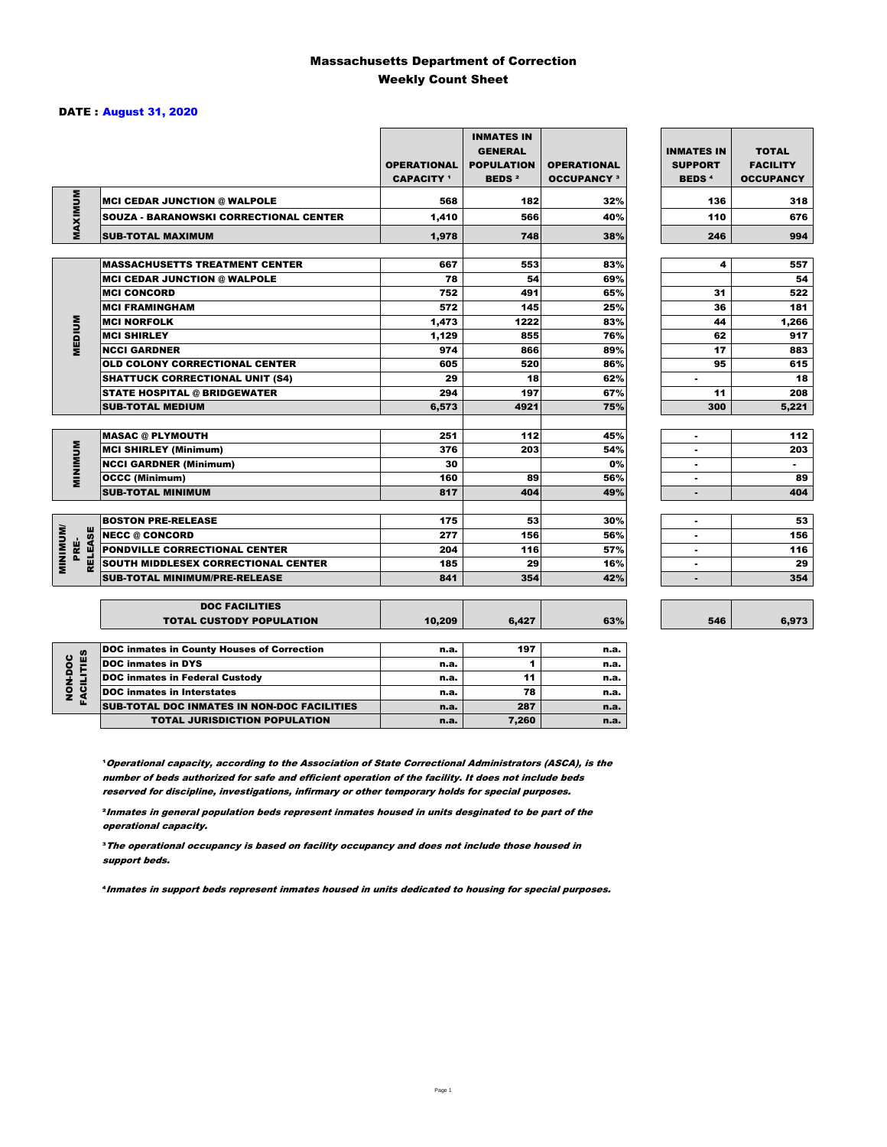### Massachusetts Department of Correction Weekly Count Sheet

### DATE : August 31, 2020

|                                   |                                                   | <b>OPERATIONAL</b><br><b>CAPACITY 1</b> | <b>INMATES IN</b><br><b>GENERAL</b><br><b>POPULATION</b><br><b>BEDS<sup>2</sup></b> | <b>OPERATIONAL</b><br><b>OCCUPANCY 3</b> | <b>INMATES IN</b><br><b>SUPPORT</b><br><b>BEDS<sup>4</sup></b> | <b>TOTAL</b><br><b>FACILITY</b><br><b>OCCUPANCY</b> |
|-----------------------------------|---------------------------------------------------|-----------------------------------------|-------------------------------------------------------------------------------------|------------------------------------------|----------------------------------------------------------------|-----------------------------------------------------|
|                                   | <b>MCI CEDAR JUNCTION @ WALPOLE</b>               | 568                                     | 182                                                                                 | 32%                                      | 136                                                            | 318                                                 |
|                                   | <b>SOUZA - BARANOWSKI CORRECTIONAL CENTER</b>     | 1,410                                   | 566                                                                                 | 40%                                      | 110                                                            | 676                                                 |
| MAXIMUM                           | <b>SUB-TOTAL MAXIMUM</b>                          | 1,978                                   | 748                                                                                 | 38%                                      | 246                                                            | 994                                                 |
|                                   |                                                   |                                         |                                                                                     |                                          |                                                                |                                                     |
|                                   | <b>MASSACHUSETTS TREATMENT CENTER</b>             | 667                                     | 553                                                                                 | 83%                                      | 4                                                              | 557                                                 |
|                                   | <b>MCI CEDAR JUNCTION @ WALPOLE</b>               | 78                                      | 54                                                                                  | 69%                                      |                                                                | 54                                                  |
|                                   | <b>MCI CONCORD</b>                                | 752                                     | 491                                                                                 | 65%                                      | 31                                                             | 522                                                 |
|                                   | <b>MCI FRAMINGHAM</b>                             | 572                                     | 145                                                                                 | 25%                                      | 36                                                             | 181                                                 |
|                                   | <b>MCI NORFOLK</b>                                | 1,473                                   | 1222                                                                                | 83%                                      | 44                                                             | 1,266                                               |
| <b>MEDIUM</b>                     | <b>MCI SHIRLEY</b>                                | 1,129                                   | 855                                                                                 | 76%                                      | 62                                                             | 917                                                 |
|                                   | <b>NCCI GARDNER</b>                               | 974                                     | 866                                                                                 | 89%                                      | 17                                                             | 883                                                 |
|                                   | <b>OLD COLONY CORRECTIONAL CENTER</b>             | 605                                     | 520                                                                                 | 86%                                      | 95                                                             | 615                                                 |
|                                   | <b>SHATTUCK CORRECTIONAL UNIT (S4)</b>            | 29                                      | 18                                                                                  | 62%                                      | ٠                                                              | 18                                                  |
|                                   | <b>STATE HOSPITAL @ BRIDGEWATER</b>               | 294                                     | 197                                                                                 | 67%                                      | 11                                                             | 208                                                 |
|                                   | <b>SUB-TOTAL MEDIUM</b>                           | 6,573                                   | 4921                                                                                | 75%                                      | 300                                                            | 5,221                                               |
|                                   | <b>MASAC @ PLYMOUTH</b>                           | 251                                     | 112                                                                                 | 45%                                      | ٠                                                              | 112                                                 |
|                                   | <b>MCI SHIRLEY (Minimum)</b>                      | 376                                     | 203                                                                                 | 54%                                      |                                                                | 203                                                 |
| MINIMUM                           | <b>NCCI GARDNER (Minimum)</b>                     | 30                                      |                                                                                     | 0%                                       | ٠                                                              | $\sim$                                              |
|                                   | <b>OCCC (Minimum)</b>                             | 160                                     | 89                                                                                  | 56%                                      | ٠                                                              | 89                                                  |
|                                   | <b>SUB-TOTAL MINIMUM</b>                          | 817                                     | 404                                                                                 | 49%                                      | $\blacksquare$                                                 | 404                                                 |
|                                   |                                                   |                                         |                                                                                     |                                          |                                                                |                                                     |
|                                   | <b>BOSTON PRE-RELEASE</b>                         | 175                                     | 53                                                                                  | 30%                                      | $\blacksquare$                                                 | 53                                                  |
| <b>MINIMINI</b><br><b>RELEASE</b> | <b>NECC @ CONCORD</b>                             | 277                                     | 156                                                                                 | 56%                                      |                                                                | 156                                                 |
| PRE-                              | PONDVILLE CORRECTIONAL CENTER                     | 204                                     | 116                                                                                 | 57%                                      | $\overline{\phantom{a}}$                                       | 116                                                 |
|                                   | SOUTH MIDDLESEX CORRECTIONAL CENTER               | 185                                     | 29                                                                                  | 16%                                      | ٠                                                              | 29                                                  |
|                                   | <b>SUB-TOTAL MINIMUM/PRE-RELEASE</b>              | 841                                     | 354                                                                                 | 42%                                      |                                                                | 354                                                 |
|                                   | <b>DOC FACILITIES</b>                             |                                         |                                                                                     |                                          |                                                                |                                                     |
|                                   | <b>TOTAL CUSTODY POPULATION</b>                   | 10,209                                  | 6,427                                                                               | 63%                                      | 546                                                            | 6,973                                               |
|                                   | <b>DOC inmates in County Houses of Correction</b> | n.a.                                    | 197                                                                                 | n.a.                                     |                                                                |                                                     |
|                                   | <b>DOC</b> inmates in DYS                         | n.a.                                    | 1                                                                                   | n.a.                                     |                                                                |                                                     |
| <b>FACILITIES</b><br>NON-DOC      | <b>DOC inmates in Federal Custody</b>             | n.a.                                    | 11                                                                                  | n.a.                                     |                                                                |                                                     |
|                                   | <b>DOC</b> inmates in Interstates                 | n.a.                                    | 78                                                                                  | n.a.                                     |                                                                |                                                     |
|                                   | CUR TOTAL BOO INIMETED IN NON-BOO FACULTIES       |                                         | 0.07                                                                                |                                          |                                                                |                                                     |

**Operational capacity, according to the Association of State Correctional Administrators (ASCA), is the** number of beds authorized for safe and efficient operation of the facility. It does not include beds reserved for discipline, investigations, infirmary or other temporary holds for special purposes.

SUB-TOTAL DOC INMATES IN NON-DOC FACILITIES n.a. 287 n.a. TOTAL JURISDICTION POPULATION **n.a.** 7,260 n.a.

²Inmates in general population beds represent inmates housed in units desginated to be part of the operational capacity.

³The operational occupancy is based on facility occupancy and does not include those housed in support beds.

⁴Inmates in support beds represent inmates housed in units dedicated to housing for special purposes.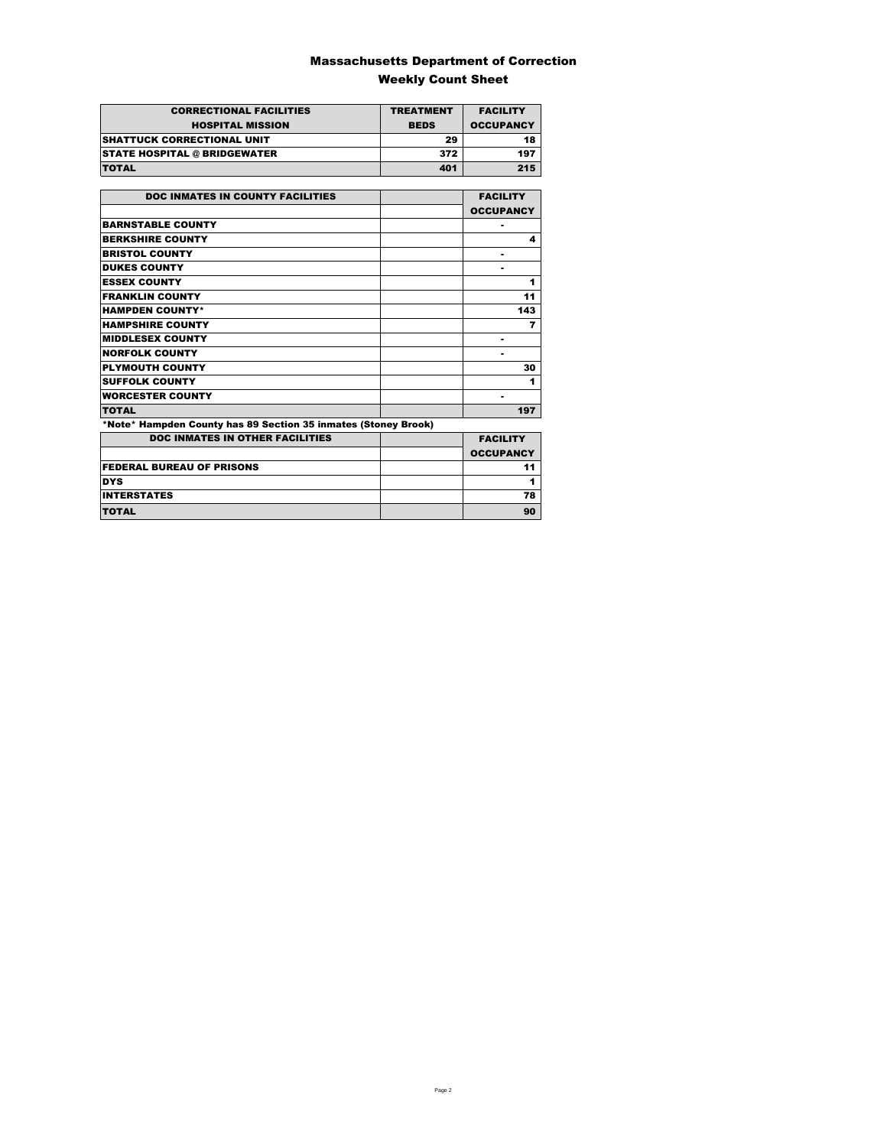### Massachusetts Department of Correction Weekly Count Sheet

| <b>CORRECTIONAL FACILITIES</b>      | <b>TREATMENT</b> | <b>FACILITY</b>  |
|-------------------------------------|------------------|------------------|
|                                     |                  |                  |
| <b>HOSPITAL MISSION</b>             | <b>BEDS</b>      | <b>OCCUPANCY</b> |
| <b>SHATTUCK CORRECTIONAL UNIT</b>   | 29               | 18               |
| <b>STATE HOSPITAL @ BRIDGEWATER</b> | 372              | 197              |
| <b>TOTAL</b>                        | 401              | 215              |

| <b>DOC INMATES IN COUNTY FACILITIES</b>                        | <b>FACILITY</b>  |
|----------------------------------------------------------------|------------------|
|                                                                | <b>OCCUPANCY</b> |
| <b>BARNSTABLE COUNTY</b>                                       |                  |
| <b>BERKSHIRE COUNTY</b>                                        | 4                |
| <b>BRISTOL COUNTY</b>                                          |                  |
| <b>DUKES COUNTY</b>                                            |                  |
| <b>ESSEX COUNTY</b>                                            | 1                |
| <b>FRANKLIN COUNTY</b>                                         | 11               |
| <b>HAMPDEN COUNTY*</b>                                         | 143              |
| <b>HAMPSHIRE COUNTY</b>                                        | 7                |
| <b>MIDDLESEX COUNTY</b>                                        | ٠                |
| <b>NORFOLK COUNTY</b>                                          |                  |
| <b>PLYMOUTH COUNTY</b>                                         | 30               |
| <b>SUFFOLK COUNTY</b>                                          | 1                |
| <b>WORCESTER COUNTY</b>                                        | ۰                |
| <b>TOTAL</b>                                                   | 197              |
| *Note* Hampden County has 89 Section 35 inmates (Stoney Brook) |                  |
| <b>DOC INMATES IN OTHER FACILITIES</b>                         | <b>FACILITY</b>  |
|                                                                | <b>OCCUPANCY</b> |
| <b>FEDERAL BUREAU OF PRISONS</b>                               | 11               |
| <b>DYS</b>                                                     | 1                |
| <b>INTERSTATES</b>                                             | 78               |
| <b>TOTAL</b>                                                   | 90               |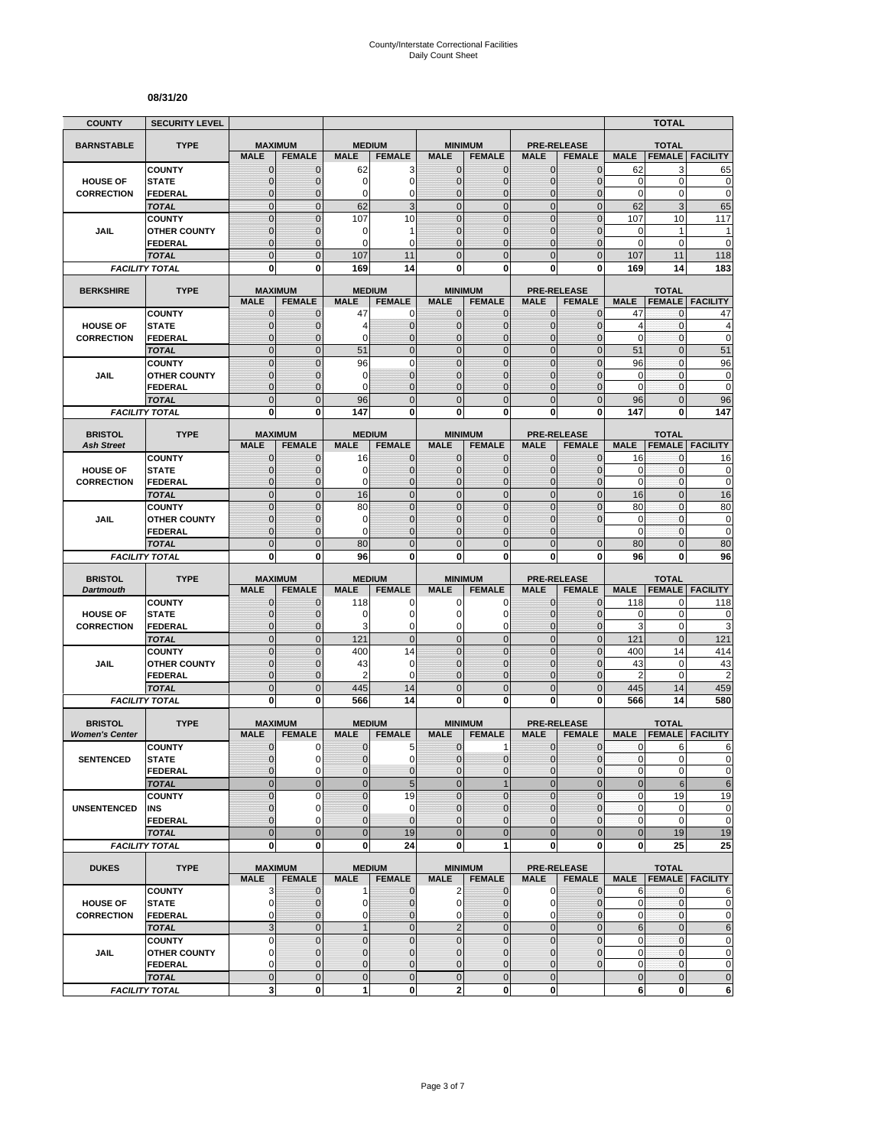#### **08/31/20**

| <b>COUNTY</b>         | <b>SECURITY LEVEL</b>                 |                                  |                               |                              |                               |                               |                                  |                              |                                  |                            | <b>TOTAL</b>                  |                            |
|-----------------------|---------------------------------------|----------------------------------|-------------------------------|------------------------------|-------------------------------|-------------------------------|----------------------------------|------------------------------|----------------------------------|----------------------------|-------------------------------|----------------------------|
| <b>BARNSTABLE</b>     | <b>TYPE</b>                           | <b>MAXIMUM</b>                   |                               | <b>MEDIUM</b>                |                               |                               | <b>MINIMUM</b>                   |                              | <b>PRE-RELEASE</b>               |                            | <b>TOTAL</b>                  |                            |
|                       |                                       | <b>MALE</b>                      | <b>FEMALE</b>                 | <b>MALE</b>                  | <b>FEMALE</b>                 | <b>MALE</b>                   | <b>FEMALE</b>                    | <b>MALE</b>                  | <b>FEMALE</b>                    | <b>MALE</b>                | <b>FEMALE</b>                 | <b>FACILITY</b>            |
|                       | <b>COUNTY</b>                         | $\mathbf 0$                      | $\mathbf{0}$                  | 62                           | 3                             | $\mathbf{0}$                  | 0                                | $\mathbf{0}$                 | $\overline{0}$                   | 62                         | 3                             | 65                         |
| <b>HOUSE OF</b>       | <b>STATE</b>                          | $\overline{0}$<br>0              | $\mathbf 0$                   | 0<br>0                       | $\mathbf 0$                   | $\overline{0}$                | $\overline{0}$                   | $\mathbf 0$                  | $\overline{0}$<br>0              | $\mathbf 0$<br>$\mathbf 0$ | 0<br>0                        | $\mathbf 0$<br>$\mathbf 0$ |
| <b>CORRECTION</b>     | <b>FEDERAL</b><br><b>TOTAL</b>        | $\overline{0}$                   | 0<br>$\mathbf{0}$             | 62                           | 0<br>3                        | 0<br>$\mathbf 0$              | $\mathbf 0$<br>$\mathbf 0$       | $\mathbf 0$<br>$\mathbf{0}$  | $\mathbf 0$                      | 62                         | 3                             | 65                         |
|                       | <b>COUNTY</b>                         | $\overline{0}$                   | $\overline{0}$                | 107                          | 10                            | $\Omega$                      | $\mathbf 0$                      | $\mathbf{0}$                 | $\overline{0}$                   | 107                        | 10                            | 117                        |
| JAIL                  | <b>OTHER COUNTY</b>                   | $\mathbf{0}$                     | 0                             | 0                            | 1                             | $\overline{0}$                | $\overline{0}$                   | $\Omega$                     | $\overline{0}$                   | 0                          | $\mathbf{1}$                  | 1                          |
|                       | FEDERAL                               | $\mathbf 0$                      | $\mathbf 0$                   | $\Omega$                     | $\Omega$                      | $\Omega$                      | $\overline{0}$                   | $\Omega$                     | $\mathbf 0$                      | $\mathbf 0$                | $\mathbf 0$                   | $\mathbf 0$                |
|                       | <b>TOTAL</b>                          | $\overline{0}$                   | $\Omega$                      | 107                          | 11                            | $\Omega$                      | $\overline{0}$                   | $\Omega$                     | $\overline{0}$                   | 107                        | 11                            | 118                        |
|                       | <b>FACILITY TOTAL</b>                 | 0                                | $\bf{0}$                      | 169                          | 14                            | 0                             | 0                                | $\bf{0}$                     | 0                                | 169                        | 14                            | 183                        |
| <b>BERKSHIRE</b>      | <b>TYPE</b>                           |                                  | <b>MAXIMUM</b>                |                              | <b>MEDIUM</b>                 |                               | <b>MINIMUM</b>                   |                              | <b>PRE-RELEASE</b>               |                            | <b>TOTAL</b>                  |                            |
|                       |                                       | <b>MALE</b>                      | <b>FEMALE</b>                 | <b>MALE</b>                  | <b>FEMALE</b>                 | <b>MALE</b>                   | <b>FEMALE</b>                    | <b>MALE</b>                  | <b>FEMALE</b>                    | <b>MALE</b>                | <b>FEMALE</b>                 | <b>FACILITY</b>            |
|                       | <b>COUNTY</b>                         | 0                                | $\mathbf 0$                   | 47                           | 0                             | 0                             | $\mathbf{0}$                     | $\mathbf{0}$                 | $\mathbf{0}$                     | 47                         | 0                             | 47                         |
| <b>HOUSE OF</b>       | <b>STATE</b>                          | $\mathbf 0$                      | $\mathbf 0$                   | 4                            | $\mathbf{0}$                  | $\mathbf{0}$                  | $\mathbf 0$                      | $\mathbf{0}$                 | $\overline{0}$                   | $\overline{4}$             | 0                             | 4                          |
| <b>CORRECTION</b>     | <b>FEDERAL</b>                        | $\overline{0}$<br>$\overline{0}$ | $\mathbf 0$<br>$\overline{0}$ | 0<br>51                      | $\mathbf{0}$<br>$\mathbf 0$   | 0<br>$\mathbf 0$              | $\overline{0}$<br>$\overline{0}$ | $\mathbf 0$<br>$\mathbf{0}$  | $\overline{0}$<br>$\overline{0}$ | $\mathbf 0$<br>51          | $\mathbf 0$<br>$\overline{0}$ | $\mathbf 0$                |
|                       | <b>TOTAL</b><br><b>COUNTY</b>         | $\overline{0}$                   | $\overline{0}$                | 96                           | $\mathbf 0$                   | $\mathbf 0$                   | $\overline{0}$                   | $\mathbf{0}$                 | $\overline{0}$                   | 96                         | $\mathbf{0}$                  | 51<br>96                   |
| <b>JAIL</b>           | <b>OTHER COUNTY</b>                   | $\mathbf{0}$                     | $\mathbf 0$                   | 0                            | $\mathbf{0}$                  | $\mathbf{0}$                  | $\overline{0}$                   | $\Omega$                     | $\mathbf 0$                      | 0                          | $\mathbf{0}$                  | $\pmb{0}$                  |
|                       | <b>FEDERAL</b>                        | $\mathbf 0$                      | $\mathbf 0$                   | 0                            | $\mathbf{0}$                  | $\mathbf{0}$                  | $\mathbf 0$                      | $\mathbf{0}$                 | $\overline{0}$                   | $\mathbf 0$                | $\mathbf{0}$                  | $\mathbf 0$                |
|                       | <b>TOTAL</b>                          | $\mathbf 0$                      | $\overline{0}$                | 96                           | $\mathbf 0$                   | $\overline{0}$                | $\mathbf 0$                      | $\mathbf{0}$                 | $\mathbf 0$                      | 96                         | $\overline{0}$                | 96                         |
|                       | <b>FACILITY TOTAL</b>                 | 0                                | 0                             | 147                          | 0                             | $\mathbf{0}$                  | 0                                | $\bf{0}$                     | 0                                | 147                        | 0                             | 147                        |
| <b>BRISTOL</b>        | <b>TYPE</b>                           | <b>MAXIMUM</b>                   |                               |                              |                               |                               |                                  |                              | <b>PRE-RELEASE</b>               |                            |                               |                            |
| <b>Ash Street</b>     |                                       | <b>MALE</b>                      | <b>FEMALE</b>                 | <b>MEDIUM</b><br><b>MALE</b> | <b>FEMALE</b>                 | <b>MALE</b>                   | <b>MINIMUM</b><br><b>FEMALE</b>  | <b>MALE</b>                  | <b>FEMALE</b>                    | <b>MALE</b>                | <b>TOTAL</b>                  | <b>FEMALE FACILITY</b>     |
|                       | <b>COUNTY</b>                         | $\mathbf 0$                      | $\mathbf 0$                   | 16                           | $\mathbf{0}$                  | $\mathbf{0}$                  | 0                                | $\mathbf{0}$                 | 0                                | 16                         | 0                             | 16                         |
| <b>HOUSE OF</b>       | <b>STATE</b>                          | $\overline{0}$                   | $\mathbf 0$                   | 0                            | $\mathbf 0$                   | $\Omega$                      | $\mathbf{0}$                     | $\mathbf{0}$                 | $\overline{0}$                   | 0                          | 0                             | $\pmb{0}$                  |
| <b>CORRECTION</b>     | <b>FEDERAL</b>                        | $\mathbf{0}$                     | $\mathbf 0$                   | $\Omega$                     | $\mathbf 0$                   | $\Omega$                      | $\mathbf 0$                      | $\mathbf{0}$                 | $\overline{0}$                   | $\mathbf 0$                | $\mathbf{0}$                  | $\mathbf 0$                |
|                       | <b>TOTAL</b>                          | $\overline{0}$                   | $\Omega$                      | 16                           | $\overline{0}$                | $\mathbf 0$                   | $\overline{0}$                   | $\mathbf{0}$                 | $\overline{0}$                   | 16                         | $\overline{0}$                | 16                         |
|                       | <b>COUNTY</b>                         | $\overline{0}$                   | $\Omega$                      | 80                           | $\overline{0}$                | $\overline{0}$                | $\overline{0}$                   | $\Omega$                     | 0                                | 80                         | $\overline{0}$                | 80                         |
| JAIL                  | <b>OTHER COUNTY</b>                   | $\mathbf 0$<br>$\overline{0}$    | $\mathbf 0$<br>$\mathbf 0$    | $\mathbf 0$<br>$\Omega$      | $\mathbf 0$<br>$\overline{0}$ | $\mathbf{0}$<br>$\Omega$      | $\mathbf 0$<br>0                 | $\mathbf 0$<br>$\Omega$      | 0                                | $\mathbf 0$<br>$\mathbf 0$ | $\mathbf{0}$<br>0             | $\mathbf 0$<br>$\mathbf 0$ |
|                       | <b>FEDERAL</b><br><b>TOTAL</b>        | $\overline{0}$                   | $\mathbf{0}$                  | 80                           | $\mathbf 0$                   | $\mathbf{0}$                  | $\overline{0}$                   | $\Omega$                     | $\overline{0}$                   | 80                         | $\overline{0}$                | 80                         |
|                       | <b>FACILITY TOTAL</b>                 | 0                                | $\mathbf 0$                   | 96                           | 0                             | $\mathbf{0}$                  | 0                                | 0                            | 0                                | 96                         | 0                             | 96                         |
|                       |                                       |                                  |                               |                              |                               |                               |                                  |                              |                                  |                            |                               |                            |
| <b>BRISTOL</b>        | <b>TYPE</b>                           | <b>MAXIMUM</b>                   |                               | <b>MEDIUM</b>                |                               |                               | <b>MINIMUM</b>                   |                              | <b>PRE-RELEASE</b>               |                            | <b>TOTAL</b>                  |                            |
| <b>Dartmouth</b>      | <b>COUNTY</b>                         | <b>MALE</b><br>$\mathbf 0$       | <b>FEMALE</b><br>$\mathbf 0$  | <b>MALE</b><br>118           | <b>FEMALE</b><br>0            | <b>MALE</b><br>0              | <b>FEMALE</b><br>0               | <b>MALE</b><br>$\mathbf{0}$  | <b>FEMALE</b><br>$\overline{0}$  | <b>MALE</b><br>118         | <b>FEMALE</b><br>0            | <b>FACILITY</b><br>118     |
| <b>HOUSE OF</b>       | <b>STATE</b>                          | $\overline{0}$                   | $\Omega$                      | 0                            | $\mathbf 0$                   | $\Omega$                      | 0                                | $\Omega$                     | $\mathbf{0}$                     | 0                          | $\mathbf 0$                   | 0                          |
| <b>CORRECTION</b>     | <b>FEDERAL</b>                        | $\overline{0}$                   | $\mathbf{0}$                  | 3                            | 0                             | 0                             | 0                                | $\mathbf{0}$                 | $\overline{0}$                   | 3                          | $\mathbf 0$                   | 3                          |
|                       | <b>TOTAL</b>                          | $\overline{0}$                   | $\mathbf{0}$                  | 121                          | $\mathbf{0}$                  | $\overline{0}$                | $\mathbf 0$                      | $\mathbf{0}$                 | $\mathbf 0$                      | 121                        | $\mathbf{0}$                  | 121                        |
|                       | <b>COUNTY</b>                         | $\mathbf 0$                      | $\mathbf{0}$                  | 400                          | 14                            | $\mathbf{0}$                  | $\mathbf 0$                      | $\mathbf{0}$                 | $\mathbf 0$                      | 400                        | 14                            | 414                        |
| JAIL                  | <b>OTHER COUNTY</b>                   | $\overline{0}$                   | $\mathbf 0$                   | 43                           | $\mathbf 0$                   | $\overline{0}$                | $\overline{0}$                   | $\Omega$                     | $\overline{0}$                   | 43                         | 0                             | 43                         |
|                       | <b>FEDERAL</b>                        | $\mathbf 0$<br>$\mathbf 0$       | $\mathbf 0$<br>$\overline{0}$ | 2                            | $\mathbf 0$<br>14             | 0<br>$\mathbf 0$              | $\mathbf 0$<br>$\mathbf 0$       | $\mathbf{0}$<br>$\mathbf{0}$ | 0                                | $\overline{2}$             | $\mathbf 0$                   | $\overline{c}$             |
|                       | <b>TOTAL</b><br><b>FACILITY TOTAL</b> | O                                | 0                             | 445<br>566                   | 14                            | 0                             | $\bf{0}$                         | 0                            | $\mathbf 0$<br>0                 | 445<br>566                 | 14<br>14                      | 459<br>580                 |
|                       |                                       |                                  |                               |                              |                               |                               |                                  |                              |                                  |                            |                               |                            |
| <b>BRISTOL</b>        | <b>TYPE</b>                           | <b>MAXIMUM</b>                   |                               | <b>MEDIUM</b>                |                               |                               | <b>MINIMUM</b>                   |                              | <b>PRE-RELEASE</b>               |                            | <b>TOTAL</b>                  |                            |
| <b>Women's Center</b> |                                       | <b>MALE</b>                      | <b>FEMALE</b>                 | <b>MALE</b>                  | <b>FEMALE</b>                 | <b>MALE</b>                   | <b>FEMALE</b>                    | <b>MALE</b>                  | <b>FEMALE</b>                    | <b>MALE</b>                | <b>FEMALE</b>                 | <b>FACILITY</b>            |
|                       | <b>COUNTY</b>                         | $\mathbf 0$<br>$\overline{0}$    | 0<br>0                        | 0<br>$\overline{0}$          | 5<br>$\mathbf 0$              | $\mathbf 0$<br>$\Omega$       | 1<br>$\mathbf 0$                 | $\mathbf 0$<br>$\mathbf{0}$  | $\mathbf 0$<br>$\mathbf 0$       | 0<br>$\mathbf{0}$          | 6<br>$\overline{0}$           | 6<br>0                     |
| <b>SENTENCED</b>      | <b>STATE</b><br><b>FEDERAL</b>        | $\mathbf{0}$                     | 0                             | 0                            | $\pmb{0}$                     | $\mathbf 0$                   | 0                                | $\mathbf 0$                  | 0                                | $\pmb{0}$                  | $\mathbf 0$                   | $\pmb{0}$                  |
|                       | <b>TOTAL</b>                          | $\overline{0}$                   | $\overline{0}$                | $\overline{0}$               | $\overline{5}$                | $\overline{0}$                | $\mathbf{1}$                     | $\mathbf{0}$                 | $\overline{0}$                   | $\bf 0$                    | 6                             | $\,6$                      |
|                       | <b>COUNTY</b>                         | $\overline{0}$                   | $\Omega$                      | $\overline{0}$               | 19                            | $\Omega$                      | $\overline{0}$                   | $\Omega$                     | $\overline{0}$                   | $\pmb{0}$                  | 19                            | 19                         |
| <b>UNSENTENCED</b>    | INS                                   | $\mathbf 0$                      | 0                             | $\pmb{0}$                    | $\mathbf 0$                   | $\mathbf{0}$                  | 0                                | $\mathbf{0}$                 | $\mathbf 0$                      | $\pmb{0}$                  | $\mathbf 0$                   | $\pmb{0}$                  |
|                       | <b>FEDERAL</b>                        | $\overline{0}$                   | $\Omega$                      | $\overline{0}$               | $\mathbf{0}$                  | $\Omega$                      | $\overline{0}$                   | $\Omega$                     | $\overline{0}$                   | 0                          | 0                             | $\mathbf 0$                |
|                       | <b>TOTAL</b>                          | $\overline{0}$                   | $\overline{0}$                | $\overline{0}$               | 19                            | $\overline{0}$                | $\overline{0}$                   | $\overline{0}$               | $\overline{0}$                   | $\bf 0$                    | 19                            | 19                         |
|                       | <b>FACILITY TOTAL</b>                 | 0                                | $\mathbf 0$                   | $\bf{0}$                     | 24                            | $\mathbf 0$                   | 1                                | $\mathbf 0$                  | 0                                | 0                          | 25                            | 25                         |
| <b>DUKES</b>          | <b>TYPE</b>                           |                                  | <b>MAXIMUM</b>                |                              | <b>MEDIUM</b>                 |                               | <b>MINIMUM</b>                   |                              | <b>PRE-RELEASE</b>               |                            | <b>TOTAL</b>                  |                            |
|                       |                                       | <b>MALE</b>                      | <b>FEMALE</b>                 | <b>MALE</b>                  | <b>FEMALE</b>                 | <b>MALE</b>                   | <b>FEMALE</b>                    | <b>MALE</b>                  | <b>FEMALE</b>                    | <b>MALE</b>                |                               | <b>FEMALE   FACILITY</b>   |
|                       | <b>COUNTY</b>                         | 3                                | $\mathbf 0$                   | $\mathbf{1}$                 | $\mathbf{0}$                  | $\overline{2}$                | $\mathbf 0$                      | $\mathbf 0$                  | $\mathbf 0$                      | 6                          | $\mathbf{0}$                  | 6                          |
| <b>HOUSE OF</b>       | <b>STATE</b>                          | 0                                | $\mathbf{0}$                  | 0                            | $\mathbf 0$                   | $\mathbf 0$                   | 0                                | 0                            | $\mathbf 0$                      | 0                          | 0                             | $\mathbf 0$                |
| <b>CORRECTION</b>     | <b>FEDERAL</b><br><b>TOTAL</b>        | 0<br>3                           | $\mathbf{0}$<br>$\mathbf 0$   | 0<br>$\mathbf{1}$            | $\mathbf 0$<br>$\mathbf 0$    | $\mathbf 0$<br>$\overline{2}$ | $\overline{0}$<br>$\mathbf 0$    | 0<br>$\mathbf 0$             | $\overline{0}$<br>$\mathbf 0$    | $\pmb{0}$<br>$\,6$         | 0<br>$\mathbf 0$              | $\mathbf 0$<br>$\,6$       |
|                       | <b>COUNTY</b>                         | 0                                | $\mathbf{0}$                  | $\pmb{0}$                    | $\mathbf 0$                   | $\mathbf 0$                   | $\mathbf 0$                      | $\mathbf 0$                  | $\mathbf 0$                      | 0                          | 0                             | $\pmb{0}$                  |
| JAIL                  | <b>OTHER COUNTY</b>                   | $\mathbf 0$                      | $\mathbf{0}$                  | $\overline{0}$               | $\mathbf{0}$                  | $\overline{0}$                | $\mathbf 0$                      | $\mathbf{0}$                 | $\overline{0}$                   | $\mathbf 0$                | $\mathbf{0}$                  | $\pmb{0}$                  |
|                       | <b>FEDERAL</b>                        | 0                                | $\mathbf{0}$                  | 0                            | $\pmb{0}$                     | $\mathbf{0}$                  | 0                                | $\mathbf 0$                  | $\mathbf 0$                      | 0                          | $\mathbf 0$                   | $\pmb{0}$                  |
|                       | <b>TOTAL</b>                          | $\mathbf 0$                      | $\mathbf{0}$                  | $\pmb{0}$                    | $\pmb{0}$                     | $\mathbf 0$                   | $\mathbf 0$                      | $\mathbf{0}$                 |                                  | $\pmb{0}$                  | $\mathbf 0$                   | $\pmb{0}$                  |
|                       | <b>FACILITY TOTAL</b>                 | 3                                | $\bf{0}$                      | 1                            | $\mathbf{0}$                  | $\overline{\mathbf{2}}$       | 0                                | $\mathbf{0}$                 |                                  | 6                          | 0                             | $\bf 6$                    |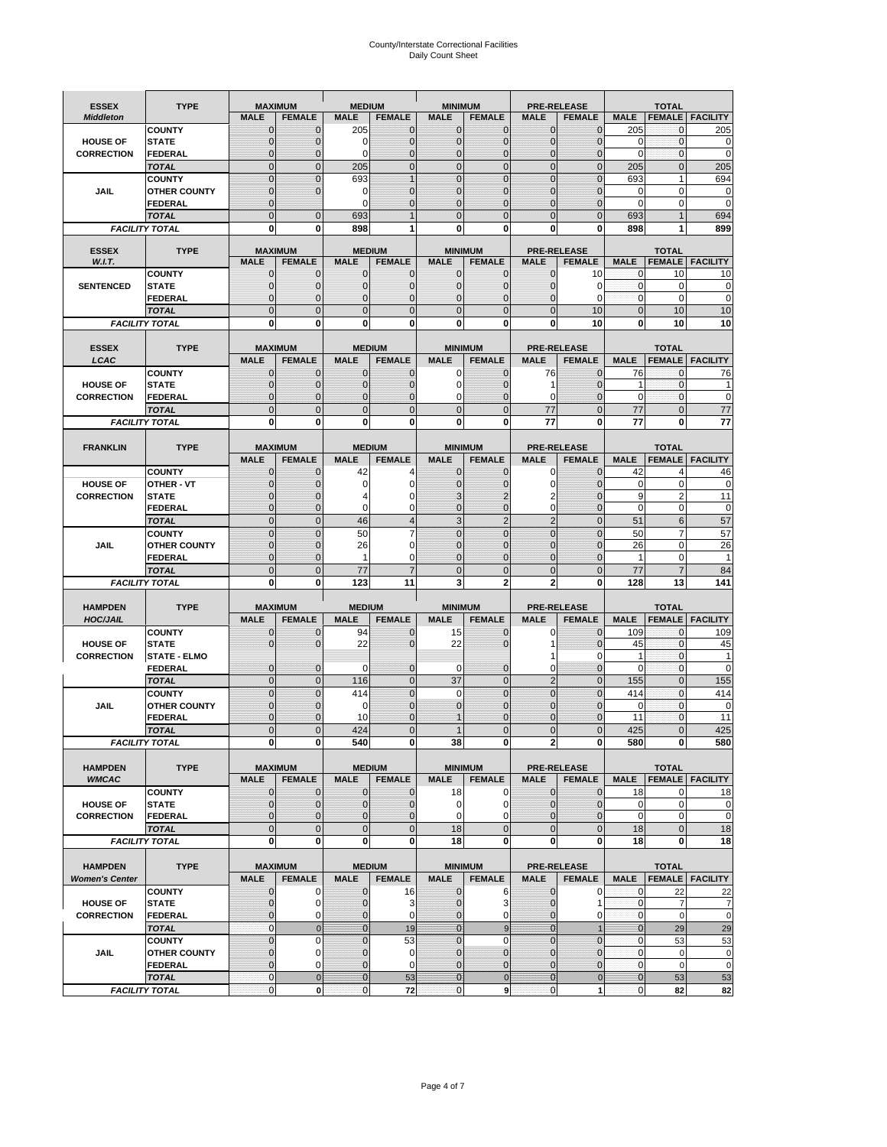# County/Interstate Correctional Facilities Daily Count Sheet

| <b>ESSEX</b>          | <b>TYPE</b>                           |                               | <b>MAXIMUM</b>                | <b>MEDIUM</b>                  |                               | <b>MINIMUM</b>                |                             |                               | <b>PRE-RELEASE</b>            |                               | <b>TOTAL</b>                |                        |
|-----------------------|---------------------------------------|-------------------------------|-------------------------------|--------------------------------|-------------------------------|-------------------------------|-----------------------------|-------------------------------|-------------------------------|-------------------------------|-----------------------------|------------------------|
| <b>Middleton</b>      |                                       | <b>MALE</b>                   | <b>FEMALE</b>                 | <b>MALE</b>                    | <b>FEMALE</b>                 | <b>MALE</b>                   | <b>FEMALE</b>               | <b>MALE</b>                   | <b>FEMALE</b>                 | <b>MALE</b>                   |                             | <b>FEMALE FACILITY</b> |
|                       | <b>COUNTY</b>                         | 0                             | $\mathbf 0$                   | 205                            | 0                             | $\mathbf{0}$                  | $\mathbf{0}$                | $\mathbf{0}$                  | $\Omega$                      | 205                           | 0                           | 205                    |
| <b>HOUSE OF</b>       | <b>STATE</b>                          | 0                             | $\mathbf 0$                   | $\Omega$                       | 0                             | $\mathbf 0$                   | $\mathbf{0}$                | $\mathbf{0}$                  | $\Omega$                      | $\Omega$                      | $\mathbf{0}$                | 0                      |
| <b>CORRECTION</b>     | <b>FEDERAL</b>                        | $\Omega$<br>$\mathbf 0$       | $\mathbf 0$<br>$\overline{0}$ | $\Omega$                       | $\overline{0}$<br>$\mathbf 0$ | $\mathbf{0}$<br>$\mathbf{0}$  | $\mathbf{0}$<br>$\mathbf 0$ | $\mathbf{0}$<br>$\mathbf 0$   | $\Omega$<br>$\overline{0}$    | $\Omega$                      | $\mathbf 0$<br>$\mathbf{0}$ | $\mathbf 0$<br>205     |
|                       | <b>TOTAL</b><br><b>COUNTY</b>         | $\mathbf 0$                   | $\mathbf{0}$                  | 205<br>693                     | $\overline{1}$                | $\mathbf{0}$                  | $\mathbf 0$                 | $\mathbf{0}$                  | $\mathbf 0$                   | 205<br>693                    | $\mathbf{1}$                | 694                    |
| JAIL                  | <b>OTHER COUNTY</b>                   | $\mathbf{0}$                  | $\mathbf 0$                   | 0                              | 0                             | $\mathbf{0}$                  | $\Omega$                    | $\mathbf{0}$                  | ſ                             | $\Omega$                      | 0                           | 0                      |
|                       | <b>FEDERAL</b>                        | $\mathbf{0}$                  |                               | $\Omega$                       | 0                             | $\mathbf{0}$                  | $\mathbf 0$                 | $\mathbf{0}$                  | $\mathbf 0$                   | $\mathbf 0$                   | 0                           | $\mathbf 0$            |
|                       | <b>TOTAL</b>                          | $\Omega$                      | $\overline{0}$                | 693                            | $\overline{1}$                | $\mathbf{0}$                  | $\Omega$                    | $\overline{0}$                | $\Omega$                      | 693                           |                             | 694                    |
|                       | <b>FACILITY TOTAL</b>                 | 0                             | 0                             | 898                            | 1                             | $\bf{0}$                      | 0                           | 0                             | 0                             | 898                           |                             | 899                    |
| <b>ESSEX</b>          | <b>TYPE</b>                           |                               | <b>MAXIMUM</b>                |                                | <b>MEDIUM</b>                 |                               | <b>MINIMUM</b>              |                               | <b>PRE-RELEASE</b>            |                               | <b>TOTAL</b>                |                        |
| W.I.T.                |                                       | <b>MALE</b>                   | <b>FEMALE</b>                 | <b>MALE</b>                    | <b>FEMALE</b>                 | <b>MALE</b>                   | <b>FEMALE</b>               | <b>MALE</b>                   | <b>FEMALE</b>                 | <b>MALE</b>                   | <b>FEMALE</b>               | <b>FACILITY</b>        |
|                       | <b>COUNTY</b>                         | $\mathbf{0}$                  | 0                             | $\mathbf 0$                    | $\mathbf{0}$                  | $\mathbf{0}$                  | $\mathbf{0}$                | 0                             | 10                            | 0                             | 10                          | 10                     |
| <b>SENTENCED</b>      | <b>STATE</b>                          | 0                             | $\overline{0}$                | $\mathbf{0}$                   | 0                             | $\mathbf{0}$                  | $\mathbf{0}$                | $\mathbf 0$                   | 0                             | $\mathbf 0$                   | $\mathbf 0$                 | $\mathbf 0$            |
|                       | <b>FEDERAL</b>                        | $\overline{0}$                | $\mathbf 0$                   | $\Omega$                       | 0                             | $\mathbf{0}$                  | $\Omega$                    | 0                             | $\Omega$                      | $\mathbf{0}$                  | $\Omega$                    | $\mathbf 0$            |
|                       | <b>TOTAL</b>                          | $\overline{0}$                | $\overline{0}$                | $\mathbf 0$                    | $\overline{0}$                | $\mathbf{0}$                  | $\overline{0}$              | $\mathbf 0$                   | 10                            | $\mathbf{0}$                  | 10                          | 10                     |
|                       | <b>FACILITY TOTAL</b>                 | $\bf{0}$                      | 0                             | $\bf{0}$                       | O                             | $\bf{0}$                      | 0                           | 0                             | 10                            | $\bf{0}$                      | 10                          | 10                     |
| <b>ESSEX</b>          | <b>TYPE</b>                           |                               | <b>MAXIMUM</b>                |                                | <b>MEDIUM</b>                 |                               | <b>MINIMUM</b>              |                               | <b>PRE-RELEASE</b>            |                               | <b>TOTAL</b>                |                        |
| LCAC                  |                                       | <b>MALE</b>                   | <b>FEMALE</b>                 | <b>MALE</b>                    | <b>FEMALE</b>                 | <b>MALE</b>                   | <b>FEMALE</b>               | <b>MALE</b>                   | <b>FEMALE</b>                 | <b>MALE</b>                   | <b>FEMALE</b>               | <b>FACILITY</b>        |
|                       | <b>COUNTY</b>                         | 0                             | $\mathbf 0$                   | $\mathbf{0}$                   | 0                             | $\mathbf 0$                   | $\mathbf{0}$                | 76                            | $\Omega$                      | 76                            | $\mathbf 0$                 | 76                     |
| <b>HOUSE OF</b>       | <b>STATE</b>                          | $\Omega$                      | $\mathbf 0$                   | $\Omega$                       | 0                             | $\Omega$                      | $\Omega$                    | 1                             | $\Omega$                      | 1                             | $\Omega$                    |                        |
| <b>CORRECTION</b>     | <b>FEDERAL</b>                        | 0                             | $\overline{0}$                | $\mathbf{0}$                   | 0                             | $\mathbf 0$                   | $\overline{0}$              | 0                             | $\mathcal{C}$                 | $\mathbf 0$                   | $\mathbf{0}$                | $\pmb{0}$              |
|                       | <b>TOTAL</b>                          | $\overline{0}$                | $\overline{0}$                | $\overline{0}$                 | $\overline{0}$                | $\mathbf 0$                   | $\overline{0}$              | 77                            | $\overline{0}$                | 77                            | $\Omega$                    | 77                     |
|                       | <b>FACILITY TOTAL</b>                 | 0                             | 0                             | 0                              | 0                             | $\bf{0}$                      | 0                           | 77                            | 0                             | 77                            | 0                           | 77                     |
| <b>FRANKLIN</b>       | <b>TYPE</b>                           |                               | <b>MAXIMUM</b>                |                                | <b>MEDIUM</b>                 |                               | <b>MINIMUM</b>              |                               | <b>PRE-RELEASE</b>            |                               | <b>TOTAL</b>                |                        |
|                       |                                       | <b>MALE</b>                   | <b>FEMALE</b>                 | <b>MALE</b>                    | <b>FEMALE</b>                 | <b>MALE</b>                   | <b>FEMALE</b>               | <b>MALE</b>                   | <b>FEMALE</b>                 | <b>MALE</b>                   | <b>FEMALE</b>               | <b>FACILITY</b>        |
|                       | <b>COUNTY</b>                         | 0                             | 0                             | 42                             | Δ                             | $\mathbf{0}$                  | 0                           | 0                             | $\Omega$                      | 42                            | Δ                           | 46                     |
| <b>HOUSE OF</b>       | <b>OTHER - VT</b>                     | 0                             | $\overline{0}$                | $\Omega$                       | 0                             | $\mathbf 0$                   | 0                           | $\mathbf 0$                   | $\mathcal{C}$                 | $\mathbf 0$                   | $\mathbf 0$                 | 0                      |
| <b>CORRECTION</b>     | <b>STATE</b>                          | 0                             | $\mathbf 0$                   | 4                              | 0                             | 3                             | 2                           | 2                             | $\Omega$                      | 9                             | $\overline{2}$              | 11                     |
|                       | <b>FEDERAL</b>                        | $\mathbf{0}$                  | $\overline{0}$                | $\Omega$                       | 0                             | $\mathbf{0}$                  | $\mathbf 0$                 | 0                             | $\overline{0}$                | $\mathbf 0$                   | $\mathbf 0$                 | $\mathbf 0$            |
|                       | <b>TOTAL</b>                          | $\mathbf 0$                   | $\mathbf{0}$                  | 46                             | $\overline{\mathbf{4}}$       | 3                             | $\overline{2}$              | $\overline{2}$                | $\overline{0}$                | 51                            | 6                           | 57                     |
|                       | <b>COUNTY</b>                         | $\mathbf 0$<br>$\overline{0}$ | $\mathbf 0$<br>$\mathbf 0$    | 50                             | 7<br>0                        | $\mathbf{0}$<br>$\Omega$      | $\mathbf 0$<br>$\Omega$     | $\mathbf{0}$<br>$\mathbf 0$   | $\overline{0}$<br>$\sqrt{ }$  | 50<br>26                      | 7<br>$\Omega$               | 57<br>26               |
| <b>JAIL</b>           | <b>OTHER COUNTY</b><br><b>FEDERAL</b> | $\overline{0}$                | $\overline{0}$                | 26<br>1                        | 0                             | $\mathbf{0}$                  | $\overline{0}$              | $\mathbf{0}$                  | $\mathbf 0$                   | $\mathbf{1}$                  | $\mathbf 0$                 |                        |
|                       | <b>TOTAL</b>                          | $\mathbf 0$                   | $\mathbf 0$                   | 77                             | $\overline{7}$                | $\mathbf 0$                   | $\overline{0}$              | $\mathbf 0$                   | $\Omega$                      | 77                            | $\overline{7}$              | 84                     |
|                       | <b>FACILITY TOTAL</b>                 | $\mathbf{0}$                  | 0                             | 123                            | 11                            | 3                             | $\mathbf{2}$                | $\overline{2}$                | 0                             | 128                           | 13                          | 141                    |
|                       |                                       |                               |                               |                                |                               |                               |                             |                               |                               |                               |                             |                        |
| <b>HAMPDEN</b>        | <b>TYPE</b>                           |                               | <b>MAXIMUM</b>                | <b>MEDIUM</b>                  |                               | <b>MINIMUM</b>                |                             |                               | <b>PRE-RELEASE</b>            |                               | <b>TOTAL</b>                |                        |
| <b>HOC/JAIL</b>       |                                       | <b>MALE</b>                   | <b>FEMALE</b>                 | <b>MALE</b>                    | <b>FEMALE</b>                 | <b>MALE</b>                   | <b>FEMALE</b>               | <b>MALE</b>                   | <b>FEMALE</b>                 | <b>MALE</b>                   | <b>FEMALE</b>               | <b>FACILITY</b>        |
| <b>HOUSE OF</b>       | <b>COUNTY</b><br><b>STATE</b>         | $\mathbf{0}$<br>$\Omega$      | 0<br>$\overline{0}$           | 94<br>22                       | 0<br>$\overline{0}$           | 15<br>22                      | $\mathbf 0$<br>$\Omega$     | 0<br>1                        | $\Omega$<br>$\Omega$          | 109<br>45                     | $\mathbf 0$<br>$\mathbf{0}$ | 109<br>45              |
| <b>CORRECTION</b>     | <b>STATE - ELMO</b>                   |                               |                               |                                |                               |                               |                             | 1                             | $\Omega$                      | $\mathbf{1}$                  | $\mathbf{0}$                | 1                      |
|                       | <b>FEDERAL</b>                        | $\mathbf{0}$                  | $\mathbf 0$                   | 0                              | 0                             | 0                             | 0                           | 0                             | $\overline{0}$                | $\Omega$                      | $\mathbf{0}$                | 0                      |
|                       | <b>TOTAL</b>                          | $\mathbf{0}$                  | $\overline{0}$                | 116                            | $\overline{0}$                | 37                            | $\mathbf{0}$                | $\overline{2}$                | $\overline{0}$                | 155                           | $\mathbf 0$                 | 155                    |
|                       | <b>COUNTY</b>                         | $\Omega$                      | $\overline{0}$                | 414                            | $\overline{0}$                | $\Omega$                      | $\Omega$                    | $\overline{0}$                | $\Omega$                      | 414                           | $\Omega$                    | 414                    |
| JAIL                  | <b>OTHER COUNTY</b>                   | 0                             | $\mathbf 0$                   | 0                              | 0                             | $\mathbf{0}$                  | $\Omega$                    | $\overline{0}$                | $\Omega$                      | $\mathbf 0$                   | $\mathbf{0}$                | $\mathbf 0$            |
|                       | <b>FEDERAL</b>                        | $\Omega$<br>$\overline{0}$    | $\Omega$<br>$\sqrt{ }$        | 10<br>424                      | $\Omega$<br>$\overline{0}$    |                               | $\Omega$<br>$\Omega$        | $\mathbf 0$<br>$\overline{0}$ | $\Omega$                      | 11                            | $\Omega$                    | 11                     |
|                       | <b>TOTAL</b><br><b>FACILITY TOTAL</b> | $\mathbf{0}$                  | 0                             | 540                            | 0                             | 38                            | 0                           | $\mathbf{z}$                  | 0                             | 425<br>580                    | 0                           | 425<br>580             |
|                       |                                       |                               |                               |                                |                               |                               |                             |                               |                               |                               |                             |                        |
| <b>HAMPDEN</b>        | <b>TYPE</b>                           |                               | <b>MAXIMUM</b>                |                                | <b>MEDIUM</b>                 |                               | <b>MINIMUM</b>              |                               | PRE-RELEASE                   |                               | <b>TOTAL</b>                |                        |
| <b>WMCAC</b>          |                                       | <b>MALE</b>                   | <b>FEMALE</b>                 | <b>MALE</b>                    | <b>FEMALE</b>                 | <b>MALE</b>                   | <b>FEMALE</b>               | <b>MALE</b>                   | <b>FEMALE</b>                 | <b>MALE</b>                   |                             | <b>FEMALE FACILITY</b> |
|                       | <b>COUNTY</b>                         | 0                             | $\mathbf 0$                   | $\mathbf{0}$                   | 0                             | 18                            | 0                           | $\mathbf 0$                   | $\mathbf 0$                   | 18                            | 0                           | 18                     |
| <b>HOUSE OF</b>       | <b>STATE</b>                          | 0                             | $\mathbf{0}$                  | $\mathbf{0}$                   | 0                             | 0                             | 0                           | $\mathbf{0}$                  | $\overline{0}$                | $\mathbf 0$                   | $\mathbf 0$                 | $\pmb{0}$              |
| <b>CORRECTION</b>     | <b>FEDERAL</b><br><b>TOTAL</b>        | 0<br>$\mathbf 0$              | $\overline{0}$<br>$\mathbf 0$ | $\overline{0}$<br>$\mathbf{0}$ | 0<br>$\mathbf 0$              | $\mathbf 0$<br>18             | 0<br>$\mathbf 0$            | 0<br>$\mathbf 0$              | $\overline{0}$<br>$\mathbf 0$ | $\mathbf 0$<br>18             | $\mathbf 0$<br>$\mathbf{0}$ | $\mathbf 0$<br>18      |
|                       | <b>FACILITY TOTAL</b>                 | 0                             | 0                             | $\mathbf{0}$                   | 0                             | 18                            | 0                           | 0                             | $\mathbf 0$                   | 18                            | $\mathbf 0$                 | 18                     |
|                       |                                       |                               |                               |                                |                               |                               |                             |                               |                               |                               |                             |                        |
| <b>HAMPDEN</b>        | <b>TYPE</b>                           |                               | <b>MAXIMUM</b>                |                                | <b>MEDIUM</b>                 |                               | <b>MINIMUM</b>              |                               | <b>PRE-RELEASE</b>            |                               | <b>TOTAL</b>                |                        |
| <b>Women's Center</b> |                                       | <b>MALE</b>                   | <b>FEMALE</b>                 | <b>MALE</b>                    | <b>FEMALE</b>                 | <b>MALE</b>                   | <b>FEMALE</b>               | <b>MALE</b>                   | <b>FEMALE</b>                 | <b>MALE</b>                   |                             | <b>FEMALE FACILITY</b> |
|                       | <b>COUNTY</b>                         | 0                             | 0                             | 0                              | 16                            | $\bf{0}$                      | 6                           | 0                             | 0                             | 0                             | 22                          | 22                     |
| <b>HOUSE OF</b>       | <b>STATE</b>                          | $\mathbf{0}$                  | $\mathbf 0$                   | $\mathbf 0$                    | 3                             | $\mathbf{0}$                  | 3                           | $\mathbf{0}$                  | 1                             | $\mathbf{0}$                  | $\overline{7}$              | 7                      |
| <b>CORRECTION</b>     | <b>FEDERAL</b><br><b>TOTAL</b>        | 0<br>$\mathbf{0}$             | 0<br>$\mathbf{0}$             | 0<br>$\overline{0}$            | 0<br>19                       | $\mathbf 0$<br>$\overline{0}$ | 0<br>9                      | $\mathbf{0}$<br>$\mathbf{0}$  | 0<br>$\overline{1}$           | $\mathbf 0$<br>$\overline{0}$ | $\mathbf 0$<br>29           | $\mathbf 0$<br>29      |
|                       | <b>COUNTY</b>                         | $\mathbf 0$                   | $\mathbf 0$                   | $\Omega$                       | 53                            | $\mathbf{0}$                  | $\Omega$                    | $\mathbf 0$                   | $\overline{0}$                | $\mathbf 0$                   | 53                          | 53                     |
| JAIL                  | <b>OTHER COUNTY</b>                   | $\overline{0}$                | 0                             | $\mathbf{0}$                   | $\mathbf 0$                   | $\mathbf{0}$                  | $\mathbf{0}$                | $\mathbf{0}$                  | $\Omega$                      | $\mathbf 0$                   | $\mathbf 0$                 | 0                      |
|                       | FEDERAL                               | 0                             | 0                             | $\mathbf{0}$                   | 0                             | $\mathbf 0$                   | $\mathbf{0}$                | 0                             | $\overline{0}$                | $\mathbf 0$                   | $\mathbf 0$                 | $\pmb{0}$              |
|                       | <b>TOTAL</b>                          | $\mathbf{0}$                  | $\mathbf 0$                   | $\overline{0}$                 | 53                            | $\bf{0}$                      | $\mathbf 0$                 | $\bf{0}$                      | $\pmb{0}$                     | $\mathbf{0}$                  | 53                          | 53                     |
|                       | <b>FACILITY TOTAL</b>                 | 0                             | $\pmb{0}$                     | $\pmb{0}$                      | 72                            | $\mathbf 0$                   | 9                           | $\mathbf{0}$                  | 1                             | $\pmb{0}$                     | 82                          | 82                     |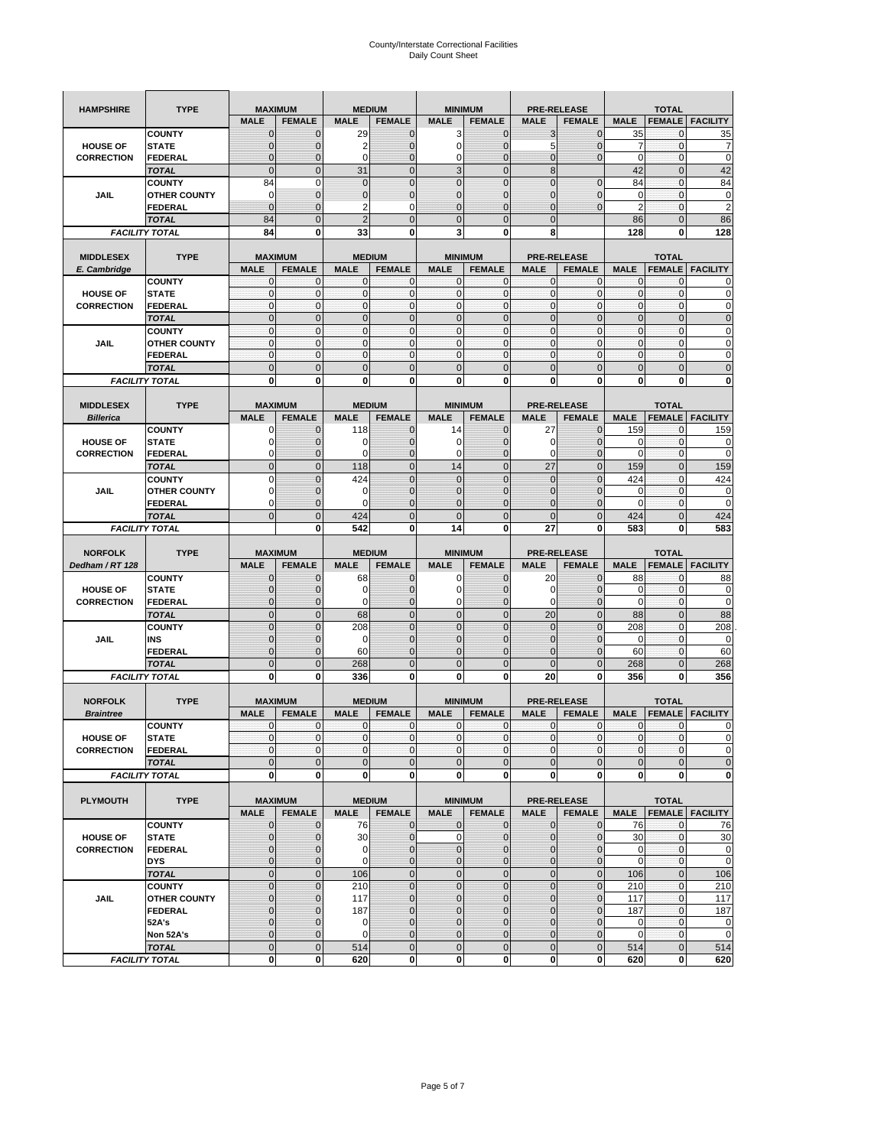| <b>HAMPSHIRE</b>      | <b>TYPE</b>                           | <b>MAXIMUM</b>              |                             | <b>MEDIUM</b>                 |                                |                               | <b>MINIMUM</b>                  | <b>PRE-RELEASE</b>                |                               |                          | <b>TOTAL</b>                  |                            |
|-----------------------|---------------------------------------|-----------------------------|-----------------------------|-------------------------------|--------------------------------|-------------------------------|---------------------------------|-----------------------------------|-------------------------------|--------------------------|-------------------------------|----------------------------|
|                       |                                       | <b>MALE</b>                 | <b>FEMALE</b>               | <b>MALE</b>                   | <b>FEMALE</b>                  | <b>MALE</b>                   | <b>FEMALE</b>                   | <b>MALE</b>                       | <b>FEMALE</b>                 | <b>MALE</b>              | <b>FEMALE</b>                 | <b>FACILITY</b>            |
|                       | <b>COUNTY</b>                         | 0                           | $\mathbf 0$                 | 29                            | $\mathbf 0$                    | 3                             | $\mathbf{0}$                    | 3                                 | $\overline{0}$                | 35                       | 0                             | 35                         |
| <b>HOUSE OF</b>       | <b>STATE</b>                          | $\Omega$                    | 0                           | $\overline{2}$                | $\mathbf{0}$                   | 0                             | $\mathbf{0}$                    | 5                                 | $\overline{0}$                | 7                        | $\mathbf 0$                   | 7                          |
| <b>CORRECTION</b>     | <b>FEDERAL</b>                        | $\mathbf 0$                 | $\mathbf{0}$                | 0                             | $\mathbf{0}$                   | 0                             | $\overline{0}$                  | $\mathbf{0}$                      | $\overline{0}$                | $\mathbf 0$              | $\mathbf{0}$                  | $\mathbf 0$                |
|                       | <b>TOTAL</b>                          | $\mathbf{0}$                | $\mathbf 0$                 | 31                            | $\mathbf{0}$                   | $\overline{3}$                | $\mathbf 0$                     | 8                                 |                               | 42                       | $\mathbf 0$                   | 42                         |
|                       | <b>COUNTY</b>                         | 84                          | 0                           | $\overline{0}$                | $\pmb{0}$                      | $\overline{0}$                | $\overline{0}$                  | $\overline{0}$                    | $\mathbf 0$                   | 84                       | $\mathbf 0$                   | 84                         |
| <b>JAIL</b>           | <b>OTHER COUNTY</b>                   | 0                           | $\mathbf 0$                 | $\mathbf 0$                   | $\pmb{0}$                      | 0                             | $\overline{0}$                  | 0                                 | $\overline{0}$                | 0                        | $\mathbf{0}$                  | 0                          |
|                       | FEDERAL                               | $\mathbf{0}$                | $\mathbf{0}$                | $\overline{2}$                | $\mathbf 0$                    | $\overline{0}$                | $\mathbf{0}$                    | 0                                 | $\overline{0}$                | $\overline{2}$           | $\mathbf 0$                   | $\overline{2}$             |
|                       | <b>TOTAL</b>                          | 84                          | $\mathbf 0$                 | $\overline{2}$                | $\mathbf{0}$                   | $\mathbf 0$                   | $\mathbf{0}$                    | $\mathbf 0$                       |                               | 86                       | $\mathbf 0$                   | 86                         |
|                       | <b>FACILITY TOTAL</b>                 | 84                          | 0                           | 33                            | 0                              | 3                             | 0                               | 8                                 |                               | 128                      | 0                             | 128                        |
| <b>MIDDLESEX</b>      | <b>TYPE</b>                           | <b>MAXIMUM</b>              |                             | <b>MEDIUM</b>                 |                                |                               | <b>MINIMUM</b>                  | <b>PRE-RELEASE</b>                |                               |                          | <b>TOTAL</b>                  |                            |
| E. Cambridge          |                                       | <b>MALE</b>                 | <b>FEMALE</b>               | <b>MALE</b>                   | <b>FEMALE</b>                  | <b>MALE</b>                   | <b>FEMALE</b>                   | <b>MALE</b>                       | <b>FEMALE</b>                 | <b>MALE</b>              | <b>FEMALE</b>                 | <b>FACILITY</b>            |
|                       | <b>COUNTY</b>                         | 0                           | 0                           | C                             | 0                              | 0                             | $\mathbf{0}$                    | 0                                 | 0                             | $\mathbf{0}$             | 0                             | 0                          |
| <b>HOUSE OF</b>       | <b>STATE</b>                          | $\pmb{0}$                   | $\mathbf 0$                 | C                             | $\mathbf 0$                    | $\mathbf{0}$                  | $\mathbf 0$                     | $\mathbf{0}$                      | $\mathbf 0$                   | $\pmb{0}$                | $\mathbf 0$                   | 0                          |
| <b>CORRECTION</b>     | FEDERAL                               | $\mathbf{0}$                | $\mathbf 0$                 | $\mathbf 0$                   | $\mathbf{0}$                   | $\mathbf{0}$                  | $\mathbf{0}$                    | $\mathbf{0}$                      | $\mathbf 0$                   | $\mathbf{0}$             | $\mathbf{0}$                  | 0                          |
|                       | <b>TOTAL</b>                          | $\mathbf{0}$                | $\mathbf{0}$                | $\overline{0}$                | $\mathbf{0}$                   | $\overline{0}$                | $\mathbf{0}$                    | $\mathbf{0}$                      | $\overline{0}$                | $\pmb{0}$                | $\mathbf{0}$                  | $\mathbf 0$                |
|                       | <b>COUNTY</b>                         | $\mathbf{0}$                | $\mathbf 0$                 | $\mathbf 0$                   | $\mathbf{0}$                   | $\mathbf{0}$                  | $\mathbf{0}$                    | $\mathbf{0}$                      | $\mathbf{0}$                  | $\bf 0$                  | $\mathbf{0}$                  | 0                          |
| JAIL                  | <b>OTHER COUNTY</b>                   | $\mathbf{0}$                | $\mathbf 0$                 | $\Omega$                      | $\mathbf{0}$                   | $\mathbf 0$                   | $\mathbf{0}$                    | $\mathbf{0}$                      | $\mathbf 0$                   | $\mathbf{0}$             | $\mathbf{0}$                  | 0                          |
|                       | FEDERAL                               | $\mathbf{0}$                | $\mathbf 0$                 | $\mathbf 0$                   | $\mathbf{0}$                   | $\mathbf{0}$                  | $\mathbf{0}$                    | $\pmb{0}$                         | $\mathbf 0$                   | $\mathbf{0}$             | $\pmb{0}$                     | 0                          |
|                       | <b>TOTAL</b>                          | $\mathbf{0}$                | $\mathbf 0$                 | $\overline{0}$                | $\mathbf 0$                    | $\mathbf 0$                   | $\overline{0}$                  | $\overline{0}$                    | $\mathbf 0$                   | $\mathbf 0$              | $\mathbf 0$                   | $\mathbf 0$                |
|                       | <b>FACILITY TOTAL</b>                 | 0                           | 0                           | $\bf{0}$                      | 0                              | 0                             | 0                               | 0                                 | 0                             | 0                        | 0                             | 0                          |
| <b>MIDDLESEX</b>      |                                       | <b>MAXIMUM</b>              |                             |                               |                                |                               |                                 |                                   |                               |                          |                               |                            |
| <b>Billerica</b>      | <b>TYPE</b>                           | <b>MALE</b>                 | <b>FEMALE</b>               | <b>MALE</b>                   | <b>MEDIUM</b><br><b>FEMALE</b> | <b>MALE</b>                   | <b>MINIMUM</b><br><b>FEMALE</b> | <b>PRE-RELEASE</b><br><b>MALE</b> | <b>FEMALE</b>                 | <b>MALE</b>              | <b>TOTAL</b><br><b>FEMALE</b> | <b>FACILITY</b>            |
|                       | <b>COUNTY</b>                         | O                           | $\mathbf{0}$                | 118                           | $\mathbf 0$                    | 14                            | $\mathbf{0}$                    | 27                                | $\overline{0}$                | 159                      | 0                             | 159                        |
| <b>HOUSE OF</b>       | <b>STATE</b>                          | C                           | $\mathbf{0}$                | $\mathcal{C}$                 | $\mathbf{0}$                   | 0                             | $\mathbf{0}$                    | 0                                 | $\overline{0}$                | 0                        | $\mathbf 0$                   | 0                          |
| <b>CORRECTION</b>     | <b>FEDERAL</b>                        | 0                           | $\bf 0$                     | $\Omega$                      | $\mathbf{0}$                   | 0                             | $\mathbf{0}$                    | 0                                 | $\mathbf 0$                   | 0                        | $\mathbf 0$                   | 0                          |
|                       | <b>TOTAL</b>                          | $\mathbf{0}$                | $\mathbf 0$                 | 118                           | $\mathbf{0}$                   | 14                            | $\mathbf{0}$                    | 27                                | $\overline{0}$                | 159                      | $\mathbf 0$                   | 159                        |
|                       | <b>COUNTY</b>                         | $\Omega$                    | $\mathbf{0}$                | 424                           | $\mathbf{0}$                   | $\overline{0}$                | $\overline{0}$                  | $\mathbf 0$                       | $\overline{0}$                | 424                      | $\mathbf 0$                   | 424                        |
| JAIL                  | <b>OTHER COUNTY</b>                   | 0                           | 0                           | 0                             | $\mathbf 0$                    | $\mathbf{0}$                  | $\overline{0}$                  | 0                                 | $\mathbf 0$                   | 0                        | $\mathbf 0$                   | 0                          |
|                       | <b>FEDERAL</b>                        | 0                           | $\mathbf{0}$                | $\epsilon$                    | $\mathbf{0}$                   | $\overline{0}$                | $\overline{0}$                  | $\overline{0}$                    | $\overline{0}$                | $\mathbf 0$              | $\mathbf{0}$                  | $\mathbf 0$                |
|                       | <b>TOTAL</b>                          | $\overline{0}$              | $\mathbf 0$                 | 424                           | $\mathbf 0$                    | $\overline{0}$                | $\mathbf{0}$                    | $\mathbf{0}$                      | $\mathbf 0$                   | 424                      | $\mathbf 0$                   | 424                        |
|                       |                                       |                             | 0                           | 542                           | 0                              |                               |                                 |                                   |                               |                          |                               |                            |
| <b>FACILITY TOTAL</b> |                                       |                             |                             |                               |                                | 14                            | 0                               | 27                                | 0                             | 583                      | 0                             | 583                        |
|                       |                                       |                             |                             |                               |                                |                               |                                 |                                   |                               |                          |                               |                            |
| <b>NORFOLK</b>        | <b>TYPE</b>                           | <b>MAXIMUM</b>              |                             |                               | <b>MEDIUM</b>                  |                               | <b>MINIMUM</b>                  | <b>PRE-RELEASE</b>                |                               |                          | <b>TOTAL</b>                  |                            |
| Dedham / RT 128       |                                       | <b>MALE</b>                 | <b>FEMALE</b>               | <b>MALE</b>                   | <b>FEMALE</b>                  | <b>MALE</b>                   | <b>FEMALE</b>                   | <b>MALE</b>                       | <b>FEMALE</b>                 | <b>MALE</b>              | <b>FEMALE</b>                 | <b>FACILITY</b>            |
|                       | <b>COUNTY</b>                         | $\Omega$                    | $\mathbf 0$                 | 68                            | $\mathbf 0$                    | 0                             | $\mathbf{0}$                    | 20                                | $\overline{0}$                | 88                       | 0                             | 88                         |
| <b>HOUSE OF</b>       | <b>STATE</b>                          | 0                           | $\mathbf{0}$                | O                             | $\mathbf{0}$                   | $\mathbf 0$                   | $\mathbf{0}$                    | 0                                 | $\overline{0}$                | 0                        | $\mathbf 0$                   | 0                          |
| <b>CORRECTION</b>     | <b>FEDERAL</b>                        | $\mathbf 0$<br>$\mathbf{0}$ | 0                           | 0                             | $\mathbf 0$<br>$\mathbf{0}$    | 0                             | $\overline{0}$<br>$\mathbf{0}$  | 0                                 | $\mathbf 0$                   | $\mathbf 0$              | $\mathbf 0$                   | 0                          |
|                       | <b>TOTAL</b><br><b>COUNTY</b>         | $\mathbf 0$                 | $\mathbf 0$<br>$\mathbf 0$  | 68<br>208                     | $\mathbf{0}$                   | $\mathbf 0$<br>$\overline{0}$ | $\overline{0}$                  | 20<br>$\mathbf 0$                 | $\mathbf 0$<br>$\overline{0}$ | 88<br>208                | $\mathbf{0}$<br>$\mathbf 0$   | 88<br>208                  |
| <b>JAIL</b>           | INS                                   | $\mathbf{0}$                | 0                           | 0                             | $\mathbf 0$                    | $\mathbf{0}$                  | $\overline{0}$                  | 0                                 | 0                             | $\mathbf 0$              | 0                             | 0                          |
|                       | FEDERAL                               | $\overline{0}$              | $\mathbf 0$                 | 60                            | $\mathbf 0$                    | $\overline{0}$                | $\overline{0}$                  | $\overline{0}$                    | $\overline{0}$                | 60                       | $\mathbf{0}$                  | 60                         |
|                       | <b>TOTAL</b>                          | $\overline{0}$              | $\overline{0}$              | 268                           | $\mathbf 0$                    | $\overline{0}$                | $\mathbf 0$                     | $\overline{0}$                    | $\overline{0}$                | 268                      | $\overline{0}$                | 268                        |
|                       | <b>FACILITY TOTAL</b>                 | 0                           | 0                           | 336                           | 0                              | 0                             | 0                               | 20                                | 0                             | 356                      | 0                             | 356                        |
|                       |                                       |                             |                             |                               |                                |                               |                                 |                                   |                               |                          |                               |                            |
| <b>NORFOLK</b>        | <b>TYPE</b>                           | <b>MAXIMUM</b>              |                             |                               | <b>MEDIUM</b>                  |                               | <b>MINIMUM</b>                  |                                   | <b>PRE-RELEASE</b>            |                          | <b>TOTAL</b>                  |                            |
| <b>Braintree</b>      |                                       | <b>MALE</b>                 | <b>FEMALE</b>               | <b>MALE</b>                   | <b>FEMALE</b>                  | <b>MALE</b>                   | <b>FEMALE</b>                   | <b>MALE</b>                       | <b>FEMALE</b>                 | <b>MALE</b>              | <b>FEMALE</b>                 | <b>FACILITY</b>            |
|                       | <b>COUNTY</b>                         | 0                           | 0                           | $\mathbf 0$                   | 0                              | $\mathbf{0}$                  | $\mathbf{0}$                    | 0                                 | 0                             | 0                        | 0                             | 0                          |
| <b>HOUSE OF</b>       | <b>STATE</b>                          | $\overline{0}$              | $\mathbf{0}$                | $\mathbf 0$                   | $\mathbf{0}$                   | $\mathbf{0}$                  | $\overline{0}$                  | 0                                 | $\overline{0}$                | $\mathbf{0}$             | $\mathbf{0}$                  | $\overline{0}$             |
| <b>CORRECTION</b>     | <b>FEDERAL</b>                        | $\mathbf 0$<br>$\mathbf{0}$ | $\mathbf 0$<br>$\mathbf{0}$ | $\mathbf 0$<br>$\overline{0}$ | $\mathbf 0$<br>$\pmb{0}$       | $\mathbf 0$<br>$\mathbf 0$    | $\overline{0}$<br>$\mathbf 0$   | 0<br>$\mathbf 0$                  | $\mathbf 0$<br>$\pmb{0}$      | $\pmb{0}$<br>$\mathbf 0$ | $\mathbf 0$<br>$\pmb{0}$      | 0<br>$\mathbf 0$           |
|                       | <b>TOTAL</b><br><b>FACILITY TOTAL</b> | $\mathbf{0}$                | 0                           | 0                             | $\mathbf 0$                    | $\mathbf{0}$                  | <sub>0</sub>                    | $\mathbf 0$                       | 0                             | $\mathbf 0$              | $\mathbf 0$                   | $\mathbf{0}$               |
|                       |                                       |                             |                             |                               |                                |                               |                                 |                                   |                               |                          |                               |                            |
| <b>PLYMOUTH</b>       | <b>TYPE</b>                           |                             | <b>MAXIMUM</b>              |                               | <b>MEDIUM</b>                  |                               | <b>MINIMUM</b>                  |                                   | <b>PRE-RELEASE</b>            |                          | <b>TOTAL</b>                  |                            |
|                       |                                       | <b>MALE</b>                 | <b>FEMALE</b>               | <b>MALE</b>                   | <b>FEMALE</b>                  | <b>MALE</b>                   | <b>FEMALE</b>                   | <b>MALE</b>                       | <b>FEMALE</b>                 | <b>MALE</b>              |                               | <b>FEMALE</b> FACILITY     |
|                       | <b>COUNTY</b>                         | $\mathbf{0}$                | $\mathbf{0}$                | 76                            | $\mathbf{0}$                   | $\mathbf 0$                   | $\mathbf{0}$                    | $\mathbf 0$                       | $\mathbf{0}$                  | 76                       | $\mathbf 0$                   | 76                         |
| <b>HOUSE OF</b>       | <b>STATE</b>                          | $\mathbf{0}$                | $\mathbf{0}$                | 30                            | $\mathbf 0$                    | $\mathbf 0$                   | $\mathbf 0$                     | $\mathbf 0$                       | $\mathbf 0$                   | 30                       | $\mathbf 0$                   | 30                         |
| <b>CORRECTION</b>     | <b>FEDERAL</b>                        | $\mathbf{0}$                | $\mathbf 0$                 | 0                             | $\mathbf{0}$                   | $\mathbf 0$                   | $\mathbf{0}$                    | 0                                 | $\mathbf{0}$                  | $\mathbf 0$              | $\mathbf 0$                   | $\mathbf 0$                |
|                       | <b>DYS</b>                            | $\mathbf{0}$                | $\mathbf{0}$                | $\mathbf 0$                   | $\mathbf 0$                    | $\mathbf 0$                   | $\mathbf{0}$                    | $\mathbf 0$                       | $\mathbf 0$                   | $\mathbf{0}$             | $\overline{0}$                | $\mathbf 0$                |
|                       | <b>TOTAL</b>                          | $\mathbf 0$                 | $\mathbf 0$                 | 106                           | $\mathbf 0$                    | $\mathbf 0$                   | $\mathbf 0$                     | $\mathbf 0$                       | $\pmb{0}$                     | 106                      | $\mathbf{0}$                  | 106                        |
|                       | <b>COUNTY</b>                         | $\overline{0}$              | $\mathbf 0$                 | 210                           | $\pmb{0}$                      | $\mathbf 0$                   | $\pmb{0}$                       | $\mathbf 0$                       | $\pmb{0}$                     | 210                      | $\mathbf 0$                   | 210                        |
| JAIL                  | <b>OTHER COUNTY</b>                   | $\mathbf{0}$                | $\mathbf{0}$                | 117                           | $\mathbf 0$                    | $\mathbf 0$                   | $\mathbf{0}$                    | $\mathbf 0$                       | $\mathbf{0}$                  | 117                      | $\bf{0}$                      | 117                        |
|                       | <b>FEDERAL</b>                        | $\Omega$<br>$\Omega$        | $\bf 0$<br>$\mathbf 0$      | 187<br>$\mathbf 0$            | $\mathbf 0$<br>$\mathbf{0}$    | $\mathbf 0$<br>$\overline{0}$ | $\mathbf{0}$<br>$\mathbf 0$     | 0<br>$\overline{0}$               | $\mathbf 0$<br>$\mathbf 0$    | 187                      | $\mathbf{0}$<br>$\mathbf{0}$  | 187                        |
|                       | 52A's<br>Non 52A's                    | $\mathbf{0}$                | $\mathbf{0}$                | $\mathbf 0$                   | $\mathbf 0$                    | $\mathbf 0$                   | $\mathbf 0$                     | $\mathbf 0$                       | $\mathbf 0$                   | 0<br>$\mathbf 0$         | $\mathbf 0$                   | $\mathbf 0$<br>$\mathbf 0$ |
|                       | <b>TOTAL</b>                          | $\overline{0}$              | $\mathbf 0$                 | 514                           | $\mathbf 0$                    | $\overline{0}$                | $\overline{0}$                  | $\mathbf 0$                       | $\pmb{0}$                     | 514                      | $\mathbf 0$                   | 514                        |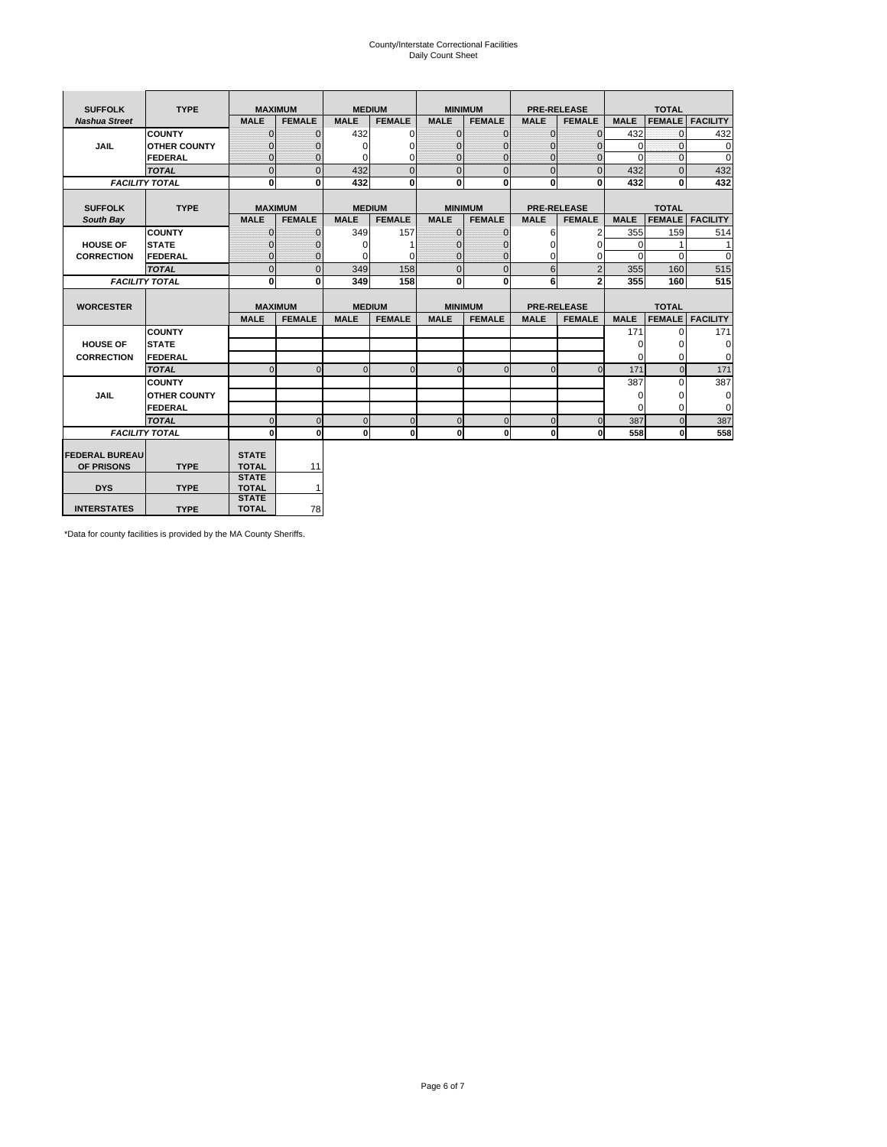# County/Interstate Correctional Facilities Daily Count Sheet

| <b>SUFFOLK</b>        | <b>TYPE</b>           |                              | <b>MAXIMUM</b> | <b>MEDIUM</b> |                |                | <b>MINIMUM</b> |                | <b>PRE-RELEASE</b> |             | <b>TOTAL</b>  |                 |
|-----------------------|-----------------------|------------------------------|----------------|---------------|----------------|----------------|----------------|----------------|--------------------|-------------|---------------|-----------------|
| <b>Nashua Street</b>  |                       | <b>MALE</b>                  | <b>FEMALE</b>  | <b>MALE</b>   | <b>FEMALE</b>  | <b>MALE</b>    | <b>FEMALE</b>  | <b>MALE</b>    | <b>FEMALE</b>      | <b>MALE</b> | <b>FEMALE</b> | <b>FACILITY</b> |
|                       | <b>COUNTY</b>         | $\Omega$                     | $\Omega$       | 432           | 0              | $\mathbf{0}$   | $\Omega$       | $\Omega$       | $\Omega$           | 432         | $\Omega$      | 432             |
| <b>JAIL</b>           | <b>OTHER COUNTY</b>   | $\Omega$                     | 0              | $\Omega$      | 0              | $\Omega$       | $\Omega$       | $\Omega$       | 0                  | $\Omega$    | $\Omega$      | 0               |
|                       | <b>FEDERAL</b>        | $\Omega$                     | $\Omega$       | 0             | 0              | $\mathbf{0}$   | $\Omega$       | $\Omega$       | $\Omega$           | $\Omega$    | $\Omega$      | $\Omega$        |
|                       | <b>TOTAL</b>          | $\mathbf{0}$                 | $\overline{0}$ | 432           | $\overline{0}$ | $\overline{0}$ | $\overline{0}$ | $\Omega$       | $\Omega$           | 432         | $\Omega$      | 432             |
|                       | <b>FACILITY TOTAL</b> | 0                            | 0              | 432           | 0              | $\mathbf{0}$   | $\bf{0}$       | $\mathbf{0}$   | 0                  | 432         | 0             | 432             |
|                       |                       |                              |                |               |                |                |                |                |                    |             |               |                 |
| <b>SUFFOLK</b>        | <b>TYPE</b>           | <b>MAXIMUM</b>               |                | <b>MEDIUM</b> |                |                | <b>MINIMUM</b> |                | <b>PRE-RELEASE</b> |             | <b>TOTAL</b>  |                 |
| South Bay             |                       | <b>MALE</b>                  | <b>FEMALE</b>  | <b>MALE</b>   | <b>FEMALE</b>  | <b>MALE</b>    | <b>FEMALE</b>  | <b>MALE</b>    | <b>FEMALE</b>      | <b>MALE</b> | <b>FEMALE</b> | <b>FACILITY</b> |
|                       | <b>COUNTY</b>         | $\mathbf{0}$                 | $\mathbf{0}$   | 349           | 157            | $\mathbf{0}$   | $\mathbf{0}$   | 6              | 2                  | 355         | 159           | 514             |
| <b>HOUSE OF</b>       | <b>STATE</b>          | ŋ                            | 0              | $\Omega$      |                | $\Omega$       | $\Omega$       | $\Omega$       | $\Omega$           | $\Omega$    |               | 1               |
| <b>CORRECTION</b>     | FEDERAL               | $\Omega$                     | $\mathbf{0}$   | O             | 0              | $\mathbf{0}$   | $\mathbf{0}$   | $\Omega$       | 0                  | $\Omega$    | $\Omega$      | $\Omega$        |
|                       | <b>TOTAL</b>          | $\mathbf{0}$                 | $\overline{0}$ | 349           | 158            | $\overline{0}$ | $\overline{0}$ | 6              | $\overline{2}$     | 355         | 160           | 515             |
|                       | <b>FACILITY TOTAL</b> | $\bf{0}$                     | 0              | 349           | 158            | $\mathbf{0}$   | $\mathbf{0}$   | 6              | $\overline{2}$     | 355         | 160           | 515             |
|                       |                       |                              |                |               |                |                |                |                |                    |             |               |                 |
| <b>WORCESTER</b>      |                       | <b>MAXIMUM</b>               |                | <b>MEDIUM</b> |                |                | <b>MINIMUM</b> |                | <b>PRE-RELEASE</b> |             | <b>TOTAL</b>  |                 |
|                       |                       | <b>MALE</b>                  | <b>FEMALE</b>  | <b>MALE</b>   | <b>FEMALE</b>  | <b>MALE</b>    | <b>FEMALE</b>  | <b>MALE</b>    | <b>FEMALE</b>      | <b>MALE</b> | <b>FEMALE</b> | <b>FACILITY</b> |
|                       | <b>COUNTY</b>         |                              |                |               |                |                |                |                |                    | 171         | $\Omega$      | 171             |
| <b>HOUSE OF</b>       | <b>STATE</b>          |                              |                |               |                |                |                |                |                    | 0           | 0             | 0               |
| <b>CORRECTION</b>     | FEDERAL               |                              |                |               |                |                |                |                |                    | $\Omega$    | $\Omega$      | $\Omega$        |
|                       | <b>TOTAL</b>          | $\Omega$                     | $\Omega$       | $\Omega$      | $\overline{0}$ | $\Omega$       | $\mathbf{0}$   | $\Omega$       | $\Omega$           | 171         | $\Omega$      | 171             |
|                       | <b>COUNTY</b>         |                              |                |               |                |                |                |                |                    | 387         | $\Omega$      | 387             |
| <b>JAIL</b>           | <b>OTHER COUNTY</b>   |                              |                |               |                |                |                |                |                    | 0           | 0             | 0               |
|                       | FEDERAL               |                              |                |               |                |                |                |                |                    | $\Omega$    | $\Omega$      | $\Omega$        |
|                       | <b>TOTAL</b>          | $\Omega$                     | $\Omega$       | $\Omega$      | $\mathbf{0}$   | $\mathbf 0$    | $\mathbf 0$    | $\overline{0}$ | $\Omega$           | 387         | $\Omega$      | 387             |
|                       | <b>FACILITY TOTAL</b> | $\bf{0}$                     | $\mathbf{0}$   | $\Omega$      | $\mathbf{0}$   | $\mathbf{0}$   | $\bf{0}$       | $\mathbf 0$    | 0                  | 558         | O             | 558             |
|                       |                       |                              |                |               |                |                |                |                |                    |             |               |                 |
| <b>FEDERAL BUREAU</b> |                       | <b>STATE</b>                 |                |               |                |                |                |                |                    |             |               |                 |
| OF PRISONS            | <b>TYPE</b>           | <b>TOTAL</b><br><b>STATE</b> | 11             |               |                |                |                |                |                    |             |               |                 |
| <b>DYS</b>            | <b>TYPE</b>           | <b>TOTAL</b>                 | 1              |               |                |                |                |                |                    |             |               |                 |
|                       |                       | <b>STATE</b>                 |                |               |                |                |                |                |                    |             |               |                 |
| <b>INTERSTATES</b>    | <b>TYPE</b>           | <b>TOTAL</b>                 | 78             |               |                |                |                |                |                    |             |               |                 |

\*Data for county facilities is provided by the MA County Sheriffs.